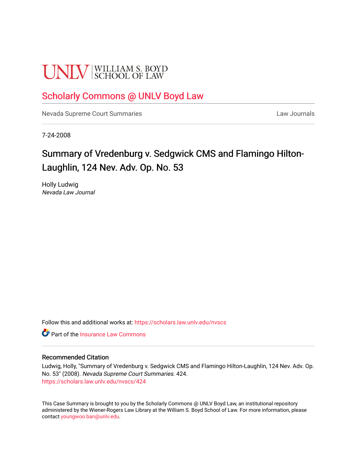# **UNLV** SCHOOL OF LAW

## [Scholarly Commons @ UNLV Boyd Law](https://scholars.law.unlv.edu/)

[Nevada Supreme Court Summaries](https://scholars.law.unlv.edu/nvscs) **Law Journals** Law Journals

7-24-2008

# Summary of Vredenburg v. Sedgwick CMS and Flamingo Hilton-Laughlin, 124 Nev. Adv. Op. No. 53

Holly Ludwig Nevada Law Journal

Follow this and additional works at: [https://scholars.law.unlv.edu/nvscs](https://scholars.law.unlv.edu/nvscs?utm_source=scholars.law.unlv.edu%2Fnvscs%2F424&utm_medium=PDF&utm_campaign=PDFCoverPages)

**C** Part of the [Insurance Law Commons](http://network.bepress.com/hgg/discipline/607?utm_source=scholars.law.unlv.edu%2Fnvscs%2F424&utm_medium=PDF&utm_campaign=PDFCoverPages)

#### Recommended Citation

Ludwig, Holly, "Summary of Vredenburg v. Sedgwick CMS and Flamingo Hilton-Laughlin, 124 Nev. Adv. Op. No. 53" (2008). Nevada Supreme Court Summaries. 424. [https://scholars.law.unlv.edu/nvscs/424](https://scholars.law.unlv.edu/nvscs/424?utm_source=scholars.law.unlv.edu%2Fnvscs%2F424&utm_medium=PDF&utm_campaign=PDFCoverPages)

This Case Summary is brought to you by the Scholarly Commons @ UNLV Boyd Law, an institutional repository administered by the Wiener-Rogers Law Library at the William S. Boyd School of Law. For more information, please contact [youngwoo.ban@unlv.edu](mailto:youngwoo.ban@unlv.edu).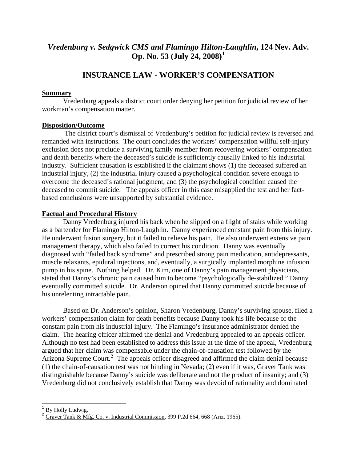## *Vredenburg v. Sedgwick CMS and Flamingo Hilton-Laughlin***, 124 Nev. Adv. Op. No. 53 (July 24, 2008)[1](#page-1-0)**

### **INSURANCE LAW - WORKER'S COMPENSATION**

#### **Summary**

 Vredenburg appeals a district court order denying her petition for judicial review of her workman's compensation matter.

#### **Disposition/Outcome**

 The district court's dismissal of Vredenburg's petition for judicial review is reversed and remanded with instructions. The court concludes the workers' compensation willful self-injury exclusion does not preclude a surviving family member from recovering workers' compensation and death benefits where the deceased's suicide is sufficiently causally linked to his industrial industry. Sufficient causation is established if the claimant shows (1) the deceased suffered an industrial injury, (2) the industrial injury caused a psychological condition severe enough to overcome the deceased's rational judgment, and (3) the psychological condition caused the deceased to commit suicide. The appeals officer in this case misapplied the test and her factbased conclusions were unsupported by substantial evidence.

#### **Factual and Procedural History**

 Danny Vredenburg injured his back when he slipped on a flight of stairs while working as a bartender for Flamingo Hilton-Laughlin. Danny experienced constant pain from this injury. He underwent fusion surgery, but it failed to relieve his pain. He also underwent extensive pain management therapy, which also failed to correct his condition. Danny was eventually diagnosed with "failed back syndrome" and prescribed strong pain medication, antidepressants, muscle relaxants, epidural injections, and, eventually, a surgically implanted morphine infusion pump in his spine. Nothing helped. Dr. Kim, one of Danny's pain management physicians, stated that Danny's chronic pain caused him to become "psychologically de-stabilized." Danny eventually committed suicide. Dr. Anderson opined that Danny committed suicide because of his unrelenting intractable pain.

 Based on Dr. Anderson's opinion, Sharon Vredenburg, Danny's surviving spouse, filed a workers' compensation claim for death benefits because Danny took his life because of the constant pain from his industrial injury. The Flamingo's insurance administrator denied the claim. The hearing officer affirmed the denial and Vredenburg appealed to an appeals officer. Although no test had been established to address this issue at the time of the appeal, Vredenburg argued that her claim was compensable under the chain-of-causation test followed by the Arizona Supreme Court.<sup>[2](#page-1-1)</sup> The appeals officer disagreed and affirmed the claim denial because (1) the chain-of-causation test was not binding in Nevada; (2) even if it was, Graver Tank was distinguishable because Danny's suicide was deliberate and not the product of insanity; and (3) Vredenburg did not conclusively establish that Danny was devoid of rationality and dominated

 $\overline{a}$ 

<span id="page-1-0"></span><sup>&</sup>lt;sup>1</sup> By Holly Ludwig.

<span id="page-1-1"></span> $^2$  Graver Tank & Mfg. Co. v. Industrial Commission, 399 P.2d 664, 668 (Ariz. 1965).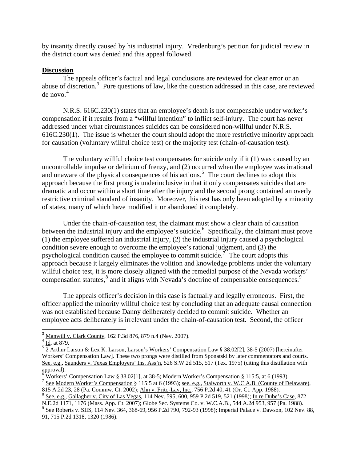by insanity directly caused by his industrial injury. Vredenburg's petition for judicial review in the district court was denied and this appeal followed.

#### **Discussion**

The appeals officer's factual and legal conclusions are reviewed for clear error or an abuse of discretion.<sup>[3](#page-2-0)</sup> Pure questions of law, like the question addressed in this case, are reviewed de novo. $4$ 

 N.R.S. 616C.230(1) states that an employee's death is not compensable under worker's compensation if it results from a "willful intention" to inflict self-injury. The court has never addressed under what circumstances suicides can be considered non-willful under N.R.S. 616C.230(1). The issue is whether the court should adopt the more restrictive minority approach for causation (voluntary willful choice test) or the majority test (chain-of-causation test).

 The voluntary willful choice test compensates for suicide only if it (1) was caused by an uncontrollable impulse or delirium of frenzy, and (2) occurred when the employee was irrational and unaware of the physical consequences of his actions.<sup>[5](#page-2-2)</sup> The court declines to adopt this approach because the first prong is underinclusive in that it only compensates suicides that are dramatic and occur within a short time after the injury and the second prong contained an overly restrictive criminal standard of insanity. Moreover, this test has only been adopted by a minority of states, many of which have modified it or abandoned it completely.

 Under the chain-of-causation test, the claimant must show a clear chain of causation between the industrial injury and the employee's suicide.  $6$  Specifically, the claimant must prove (1) the employee suffered an industrial injury, (2) the industrial injury caused a psychological condition severe enough to overcome the employee's rational judgment, and (3) the psychological condition caused the employee to commit suicide.<sup>[7](#page-2-4)</sup> The court adopts this approach because it largely eliminates the volition and knowledge problems under the voluntar y willful choice test, it is more closely aligned with the remedial purpose of the Nevada workers' compensation statutes,<sup>[8](#page-2-5)</sup> and it aligns with Nevada's doctrine of compensable consequences.<sup>[9](#page-2-6)</sup>

 The appeals officer's decision in this case is factually and legally erroneous. First, the officer applied the minority willful choice test by concluding that an adequate causal connection was not established because Danny deliberately decided to commit suicide. Whether an employee acts deliberately is irrelevant under the chain-of-causation test. Second, the officer

 $\overline{a}$ 

<sup>&</sup>lt;sup>3</sup> Manwill v. Clark County, 162 P.3d 876, 879 n.4 (Nev. 2007).

<span id="page-2-1"></span><span id="page-2-0"></span> $4 \frac{\text{Mannum } v}{\text{Id.}}$  at 879.

<span id="page-2-2"></span> $\frac{5}{2}$  Arthur Larson & Lex K. Larson, Larson's Workers' Compensation Law § 38.02[2], 38-5 (2007) [hereinafter Workers' Compensation Law]. These two prongs were distilled from Sponatski by later commentators and courts. See, e.g., Saunders v. Texas Employers' Ins. Ass'n, 526 S.W.2d 515, 517 (Tex. 1975) (citing this distillation with approval).

<span id="page-2-3"></span>Workers' Compensation Law § 38.02[1], at 38-5; Modern Worker's Compensation § 115:5, at 6 (1993).<br>See Modern Worker's Compensation § 115:5 at 6 (1993); see, e.g., Stalworth v. W.C.A.B. (County of Delaware),

<span id="page-2-5"></span><span id="page-2-4"></span><sup>815</sup> A.2d 23, 28 (Pa. Commw. Ct. 2002); Ahn v. Frito-Lay, Inc., 756 P.2d 40, 41 (Or. Ct. App. 1988). 8 See, e.g., Gallagher v. City of Las Vegas, 114 Nev. 595, 600, 959 P.2d 519, 521 (1998); In re Dube's Case, 872 N.E.2d 1171, 1176 (Mass. App. Ct. 2007); Globe Sec. Systems Co. v. W.C.A.B., 544 A.2d 953, 957 (Pa. 1988).

<span id="page-2-6"></span>See Roberts v. SIIS, 114 Nev. 364, 368-69, 956 P.2d 790, 792-93 (1998); Imperial Palace v. Dawson, 102 Nev. 88, 91, 715 P.2d 1318, 1320 (1986).